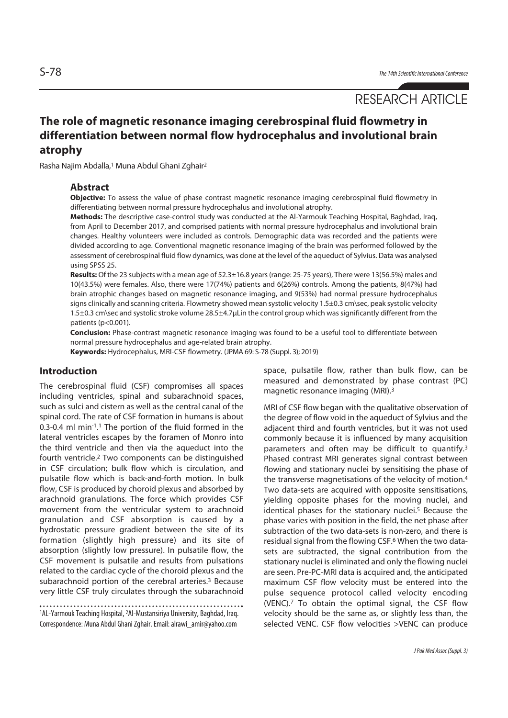# RESEARCH ARTICLE

# **The role of magnetic resonance imaging cerebrospinal fluid flowmetry in differentiation between normal flow hydrocephalus and involutional brain atrophy**

Rasha Najim Abdalla,1 Muna Abdul Ghani Zghair2

#### **Abstract**

**Objective:** To assess the value of phase contrast magnetic resonance imaging cerebrospinal fluid flowmetry in differentiating between normal pressure hydrocephalus and involutional atrophy.

**Methods:** The descriptive case-control study was conducted at the Al-Yarmouk Teaching Hospital, Baghdad, Iraq, from April to December 2017, and comprised patients with normal pressure hydrocephalus and involutional brain changes. Healthy volunteers were included as controls. Demographic data was recorded and the patients were divided according to age. Conventional magnetic resonance imaging of the brain was performed followed by the assessment of cerebrospinal fluid flow dynamics, was done at the level of the aqueduct of Sylvius. Data was analysed using SPSS 25.

**Results:** Of the 23 subjects with a mean age of 52.3±16.8 years (range: 25-75 years), There were 13(56.5%) males and 10(43.5%) were females. Also, there were 17(74%) patients and 6(26%) controls. Among the patients, 8(47%) had brain atrophic changes based on magnetic resonance imaging, and 9(53%) had normal pressure hydrocephalus signs clinically and scanning criteria. Flowmetry showed mean systolic velocity 1.5±0.3 cm\sec, peak systolic velocity 1.5±0.3 cm\sec and systolic stroke volume 28.5±4.7μLin the control group which was significantly different from the patients (p<0.001).

**Conclusion:** Phase-contrast magnetic resonance imaging was found to be a useful tool to differentiate between normal pressure hydrocephalus and age-related brain atrophy.

**Keywords:** Hydrocephalus, MRI-CSF flowmetry. (JPMA 69: S-78 (Suppl. 3); 2019)

## **Introduction**

The cerebrospinal fluid (CSF) compromises all spaces including ventricles, spinal and subarachnoid spaces, such as sulci and cistern as well as the central canal of the spinal cord. The rate of CSF formation in humans is about 0.3-0.4 ml min-1. 1 The portion of the fluid formed in the lateral ventricles escapes by the foramen of Monro into the third ventricle and then via the aqueduct into the fourth ventricle.2 Two components can be distinguished in CSF circulation; bulk flow which is circulation, and pulsatile flow which is back-and-forth motion. In bulk flow, CSF is produced by choroid plexus and absorbed by arachnoid granulations. The force which provides CSF movement from the ventricular system to arachnoid granulation and CSF absorption is caused by a hydrostatic pressure gradient between the site of its formation (slightly high pressure) and its site of absorption (slightly low pressure). In pulsatile flow, the CSF movement is pulsatile and results from pulsations related to the cardiac cycle of the choroid plexus and the subarachnoid portion of the cerebral arteries.<sup>3</sup> Because very little CSF truly circulates through the subarachnoid

1AL-Yarmouk Teaching Hospital, 2Al-Mustansiriya University, Baghdad, Iraq. Correspondence: Muna Abdul Ghani Zghair. Email: alrawi\_amir@yahoo.com

space, pulsatile flow, rather than bulk flow, can be measured and demonstrated by phase contrast (PC) magnetic resonance imaging (MRI).3

MRI of CSF flow began with the qualitative observation of the degree of flow void in the aqueduct of Sylvius and the adjacent third and fourth ventricles, but it was not used commonly because it is influenced by many acquisition parameters and often may be difficult to quantify.3 Phased contrast MRI generates signal contrast between flowing and stationary nuclei by sensitising the phase of the transverse magnetisations of the velocity of motion.4 Two data-sets are acquired with opposite sensitisations, yielding opposite phases for the moving nuclei, and identical phases for the stationary nuclei.<sup>5</sup> Because the phase varies with position in the field, the net phase after subtraction of the two data-sets is non-zero, and there is residual signal from the flowing CSF.6 When the two datasets are subtracted, the signal contribution from the stationary nuclei is eliminated and only the flowing nuclei are seen. Pre-PC-MRI data is acquired and, the anticipated maximum CSF flow velocity must be entered into the pulse sequence protocol called velocity encoding (VENC).7 To obtain the optimal signal, the CSF flow velocity should be the same as, or slightly less than, the selected VENC. CSF flow velocities >VENC can produce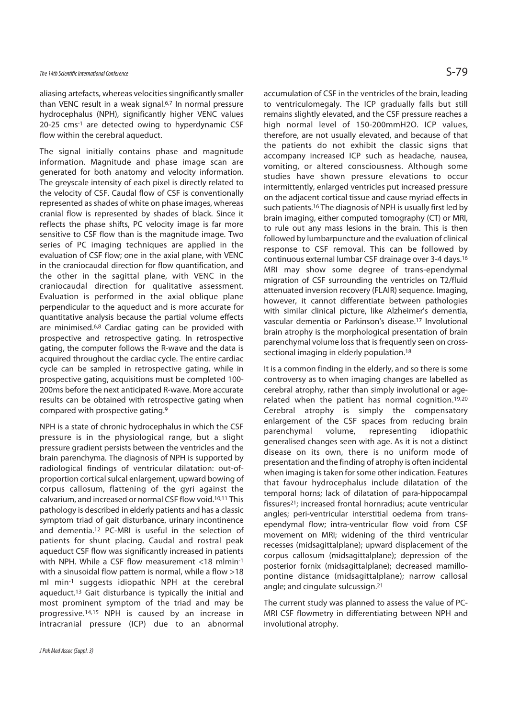## The 14th Scientific International Conference  $\mathsf{S}\text{-79}$

aliasing artefacts, whereas velocities singnificantly smaller than VENC result in a weak signal.6,7 In normal pressure hydrocephalus (NPH), significantly higher VENC values 20-25 cms-1 are detected owing to hyperdynamic CSF flow within the cerebral aqueduct.

The signal initially contains phase and magnitude information. Magnitude and phase image scan are generated for both anatomy and velocity information. The greyscale intensity of each pixel is directly related to the velocity of CSF. Caudal flow of CSF is conventionally represented as shades of white on phase images, whereas cranial flow is represented by shades of black. Since it reflects the phase shifts, PC velocity image is far more sensitive to CSF flow than is the magnitude image. Two series of PC imaging techniques are applied in the evaluation of CSF flow; one in the axial plane, with VENC in the craniocaudal direction for flow quantification, and the other in the sagittal plane, with VENC in the craniocaudal direction for qualitative assessment. Evaluation is performed in the axial oblique plane perpendicular to the aqueduct and is more accurate for quantitative analysis because the partial volume effects are minimised.6,8 Cardiac gating can be provided with prospective and retrospective gating. In retrospective gating, the computer follows the R-wave and the data is acquired throughout the cardiac cycle. The entire cardiac cycle can be sampled in retrospective gating, while in prospective gating, acquisitions must be completed 100- 200ms before the next anticipated R-wave. More accurate results can be obtained with retrospective gating when compared with prospective gating.9

NPH is a state of chronic hydrocephalus in which the CSF pressure is in the physiological range, but a slight pressure gradient persists between the ventricles and the brain parenchyma. The diagnosis of NPH is supported by radiological findings of ventricular dilatation: out-ofproportion cortical sulcal enlargement, upward bowing of corpus callosum, flattening of the gyri against the calvarium, and increased or normal CSF flow void.10,11 This pathology is described in elderly patients and has a classic symptom triad of gait disturbance, urinary incontinence and dementia.12 PC-MRI is useful in the selection of patients for shunt placing. Caudal and rostral peak aqueduct CSF flow was significantly increased in patients with NPH. While a CSF flow measurement <18 mlmin-1 with a sinusoidal flow pattern is normal, while a flow >18 ml min-1 suggests idiopathic NPH at the cerebral aqueduct.13 Gait disturbance is typically the initial and most prominent symptom of the triad and may be progressive.14,15 NPH is caused by an increase in intracranial pressure (ICP) due to an abnormal

accumulation of CSF in the ventricles of the brain, leading to ventriculomegaly. The ICP gradually falls but still remains slightly elevated, and the CSF pressure reaches a high normal level of 150-200mmH2O. ICP values, therefore, are not usually elevated, and because of that the patients do not exhibit the classic signs that accompany increased ICP such as headache, nausea, vomiting, or altered consciousness. Although some studies have shown pressure elevations to occur intermittently, enlarged ventricles put increased pressure on the adjacent cortical tissue and cause myriad effects in such patients.<sup>16</sup> The diagnosis of NPH is usually first led by brain imaging, either computed tomography (CT) or MRI, to rule out any mass lesions in the brain. This is then followed by lumbarpuncture and the evaluation of clinical response to CSF removal. This can be followed by continuous external lumbar CSF drainage over 3-4 days.16 MRI may show some degree of trans-ependymal migration of CSF surrounding the ventricles on T2/fluid attenuated inversion recovery (FLAIR) sequence. Imaging, however, it cannot differentiate between pathologies with similar clinical picture, like Alzheimer's dementia, vascular dementia or Parkinson's disease.17 Involutional brain atrophy is the morphological presentation of brain parenchymal volume loss that is frequently seen on crosssectional imaging in elderly population.<sup>18</sup>

It is a common finding in the elderly, and so there is some controversy as to when imaging changes are labelled as cerebral atrophy, rather than simply involutional or agerelated when the patient has normal cognition.<sup>19,20</sup> Cerebral atrophy is simply the compensatory enlargement of the CSF spaces from reducing brain parenchymal volume, representing idiopathic generalised changes seen with age. As it is not a distinct disease on its own, there is no uniform mode of presentation and the finding of atrophy is often incidental when imaging is taken for some other indication. Features that favour hydrocephalus include dilatation of the temporal horns; lack of dilatation of para-hippocampal fissures<sup>21</sup>; increased frontal hornradius; acute ventricular angles; peri-ventricular interstitial oedema from transependymal flow; intra-ventricular flow void from CSF movement on MRI; widening of the third ventricular recesses (midsagittalplane); upward displacement of the corpus callosum (midsagittalplane); depression of the posterior fornix (midsagittalplane); decreased mamillopontine distance (midsagittalplane); narrow callosal angle; and cingulate sulcussign.21

The current study was planned to assess the value of PC-MRI CSF flowmetry in differentiating between NPH and involutional atrophy.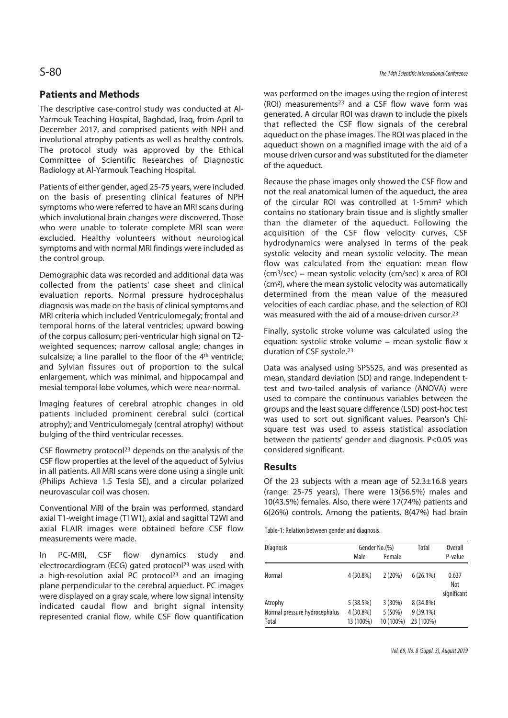## **Patients and Methods**

The descriptive case-control study was conducted at Al-Yarmouk Teaching Hospital, Baghdad, Iraq, from April to December 2017, and comprised patients with NPH and involutional atrophy patients as well as healthy controls. The protocol study was approved by the Ethical Committee of Scientific Researches of Diagnostic Radiology at Al-Yarmouk Teaching Hospital.

Patients of either gender, aged 25-75 years, were included on the basis of presenting clinical features of NPH symptoms who were referred to have an MRI scans during which involutional brain changes were discovered. Those who were unable to tolerate complete MRI scan were excluded. Healthy volunteers without neurological symptoms and with normal MRI findings were included as the control group.

Demographic data was recorded and additional data was collected from the patients' case sheet and clinical evaluation reports. Normal pressure hydrocephalus diagnosis was made on the basis of clinical symptoms and MRI criteria which included Ventriculomegaly; frontal and temporal horns of the lateral ventricles; upward bowing of the corpus callosum; peri-ventricular high signal on T2 weighted sequences; narrow callosal angle; changes in sulcalsize; a line parallel to the floor of the 4<sup>th</sup> ventricle; and Sylvian fissures out of proportion to the sulcal enlargement, which was minimal, and hippocampal and mesial temporal lobe volumes, which were near-normal.

Imaging features of cerebral atrophic changes in old patients included prominent cerebral sulci (cortical atrophy); and Ventriculomegaly (central atrophy) without bulging of the third ventricular recesses.

CSF flowmetry protocol<sup>23</sup> depends on the analysis of the CSF flow properties at the level of the aqueduct of Sylvius in all patients. All MRI scans were done using a single unit (Philips Achieva 1.5 Tesla SE), and a circular polarized neurovascular coil was chosen.

Conventional MRI of the brain was performed, standard axial T1-weight image (T1W1), axial and sagittal T2WI and axial FLAIR images were obtained before CSF flow measurements were made.

In PC-MRI, CSF flow dynamics study and electrocardiogram (ECG) gated protocol<sup>23</sup> was used with a high-resolution axial PC protocol<sup>23</sup> and an imaging plane perpendicular to the cerebral aqueduct. PC images were displayed on a gray scale, where low signal intensity indicated caudal flow and bright signal intensity represented cranial flow, while CSF flow quantification was performed on the images using the region of interest (ROI) measurements23 and a CSF flow wave form was generated. A circular ROI was drawn to include the pixels that reflected the CSF flow signals of the cerebral aqueduct on the phase images. The ROI was placed in the aqueduct shown on a magnified image with the aid of a mouse driven cursor and was substituted for the diameter of the aqueduct.

Because the phase images only showed the CSF flow and not the real anatomical lumen of the aqueduct, the area of the circular ROI was controlled at 1-5mm2 which contains no stationary brain tissue and is slightly smaller than the diameter of the aqueduct. Following the acquisition of the CSF flow velocity curves, CSF hydrodynamics were analysed in terms of the peak systolic velocity and mean systolic velocity. The mean flow was calculated from the equation: mean flow (cm3/sec) = mean systolic velocity (cm/sec) x area of ROI (cm2), where the mean systolic velocity was automatically determined from the mean value of the measured velocities of each cardiac phase, and the selection of ROI was measured with the aid of a mouse-driven cursor.23

Finally, systolic stroke volume was calculated using the equation: systolic stroke volume  $=$  mean systolic flow x duration of CSF systole.23

Data was analysed using SPSS25, and was presented as mean, standard deviation (SD) and range. Independent ttest and two-tailed analysis of variance (ANOVA) were used to compare the continuous variables between the groups and the least square difference (LSD) post-hoc test was used to sort out significant values. Pearson's Chisquare test was used to assess statistical association between the patients' gender and diagnosis. P<0.05 was considered significant.

### **Results**

Of the 23 subjects with a mean age of  $52.3\pm16.8$  years (range: 25-75 years), There were 13(56.5%) males and 10(43.5%) females. Also, there were 17(74%) patients and 6(26%) controls. Among the patients, 8(47%) had brain

Table-1: Relation between gender and diagnosis.

| <b>Diagnosis</b>              | Gender No.(%) |           | Total       | <b>Overall</b>              |
|-------------------------------|---------------|-----------|-------------|-----------------------------|
|                               | Male          | Female    |             | P-value                     |
| Normal                        | 4 (30.8%)     | 2(20%)    | 6(26.1%)    | 0.637<br>Not<br>significant |
| Atrophy                       | 5(38.5%)      | 3(30%)    | 8 (34.8%)   |                             |
| Normal pressure hydrocephalus | $4(30.8\%)$   | 5(50%)    | $9(39.1\%)$ |                             |
| Total                         | 13 (100%)     | 10 (100%) | 23 (100%)   |                             |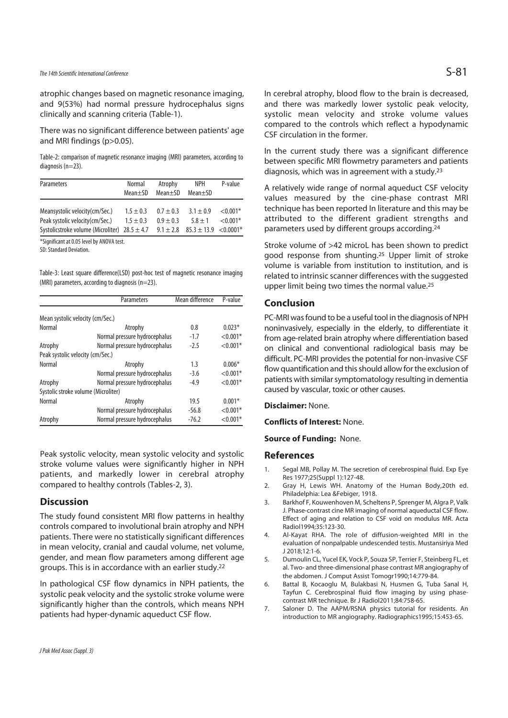## The 14th Scientific International Conference  $S$ -81

atrophic changes based on magnetic resonance imaging, and 9(53%) had normal pressure hydrocephalus signs clinically and scanning criteria (Table-1).

There was no significant difference between patients' age and MRI findings (p>0.05).

Table-2: comparison of magnetic resonance imaging (MRI) parameters, according to diagnosis (n=23).

| Parameters                                        | Normal<br>$Mean \pm SD$ | Atrophy<br>$Mean \pm SD$ | <b>NPH</b><br>$Mean \pm SD$  | P-value     |
|---------------------------------------------------|-------------------------|--------------------------|------------------------------|-------------|
| Meansystolic velocity (cm/Sec.)                   | $1.5 \pm 0.3$           | $0.7 \pm 0.3$            | $3.1 + 0.9$                  | ${<}0.001*$ |
| Peak systolic velocity (cm/Sec.)                  | $1.5 \pm 0.3$           | $0.9 + 0.3$              | $5.8 + 1$                    | $< 0.001*$  |
| Systolicstroke volume (Microliter) $28.5 \pm 4.7$ |                         | $9.1 \pm 2.8$            | $85.3 \pm 13.9 \le 0.0001^*$ |             |

\*Significant at 0.05 level by ANOVA test.

SD: Standard Deviation.

Table-3: Least square difference(LSD) post-hoc test of magnetic resonance imaging (MRI) parameters, according to diagnosis (n=23).

|                                     | Parameters                    | Mean difference | P-value    |  |  |
|-------------------------------------|-------------------------------|-----------------|------------|--|--|
| Mean systolic velocity (cm/Sec.)    |                               |                 |            |  |  |
| Normal                              | Atrophy                       | 0.8             | $0.023*$   |  |  |
|                                     | Normal pressure hydrocephalus | $-1.7$          | $< 0.001*$ |  |  |
| Atrophy                             | Normal pressure hydrocephalus | $-2.5$          | $< 0.001*$ |  |  |
| Peak systolic velocity (cm/Sec.)    |                               |                 |            |  |  |
| Normal                              | Atrophy                       | 1.3             | $0.006*$   |  |  |
|                                     | Normal pressure hydrocephalus | $-3.6$          | $< 0.001*$ |  |  |
| Atrophy                             | Normal pressure hydrocephalus | $-4.9$          | $< 0.001*$ |  |  |
| Systolic stroke volume (Microliter) |                               |                 |            |  |  |
| Normal                              | Atrophy                       | 19.5            | $0.001*$   |  |  |
|                                     | Normal pressure hydrocephalus | $-56.8$         | $< 0.001*$ |  |  |
| Atrophy                             | Normal pressure hydrocephalus | $-76.2$         | $< 0.001*$ |  |  |

Peak systolic velocity, mean systolic velocity and systolic stroke volume values were significantly higher in NPH patients, and markedly lower in cerebral atrophy compared to healthy controls (Tables-2, 3).

#### **Discussion**

The study found consistent MRI flow patterns in healthy controls compared to involutional brain atrophy and NPH patients. There were no statistically significant differences in mean velocity, cranial and caudal volume, net volume, gender, and mean flow parameters among different age groups. This is in accordance with an earlier study.22

In pathological CSF flow dynamics in NPH patients, the systolic peak velocity and the systolic stroke volume were significantly higher than the controls, which means NPH patients had hyper-dynamic aqueduct CSF flow.

In cerebral atrophy, blood flow to the brain is decreased, and there was markedly lower systolic peak velocity, systolic mean velocity and stroke volume values compared to the controls which reflect a hypodynamic CSF circulation in the former.

In the current study there was a significant difference between specific MRI flowmetry parameters and patients diagnosis, which was in agreement with a study.23

A relatively wide range of normal aqueduct CSF velocity values measured by the cine-phase contrast MRI technique has been reported In literature and this may be attributed to the different gradient strengths and parameters used by different groups according.24

Stroke volume of >42 microL has been shown to predict good response from shunting.25 Upper limit of stroke volume is variable from institution to institution, and is related to intrinsic scanner differences with the suggested upper limit being two times the normal value.25

#### **Conclusion**

PC-MRI was found to be a useful tool in the diagnosis of NPH noninvasively, especially in the elderly, to differentiate it from age-related brain atrophy where differentiation based on clinical and conventional radiological basis may be difficult. PC-MRI provides the potential for non-invasive CSF flow quantification and this should allow for the exclusion of patients with similar symptomatology resulting in dementia caused by vascular, toxic or other causes.

**Disclaimer:** None.

**Conflicts of Interest:** None.

**Source of Funding:** None.

#### **References**

- 1. Segal MB, Pollay M. The secretion of cerebrospinal fluid. Exp Eye Res 1977;25(Suppl 1):127-48.
- 2. Gray H, Lewis WH. Anatomy of the Human Body,20th ed. Philadelphia: Lea &Febiger, 1918.
- 3. Barkhof F, Kouwenhoven M, Scheltens P, Sprenger M, Algra P, Valk J. Phase-contrast cine MR imaging of normal aqueductal CSF flow. Effect of aging and relation to CSF void on modulus MR. Acta Radiol1994;35:123-30.
- 4. Al-Kayat RHA. The role of diffusion-weighted MRI in the evaluation of nonpalpable undescended testis. Mustansiriya Med  $12018.12.1 - 6$
- 5. Dumoulin CL, Yucel EK, Vock P, Souza SP, Terrier F, Steinberg FL, et al. Two- and three-dimensional phase contrast MR angiography of the abdomen. J Comput Assist Tomogr1990;14:779-84.
- 6. Battal B, Kocaoglu M, Bulakbasi N, Husmen G, Tuba Sanal H, Tayfun C. Cerebrospinal fluid flow imaging by using phasecontrast MR technique. Br J Radiol2011;84:758-65.
- 7. Saloner D. The AAPM/RSNA physics tutorial for residents. An introduction to MR angiography. Radiographics1995;15:453-65.